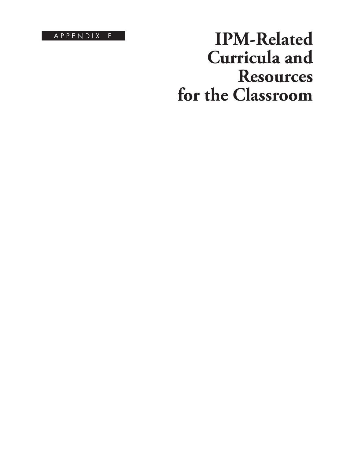A P P E N D I X F

# **IPM-Related Curricula and Resources for the Classroom**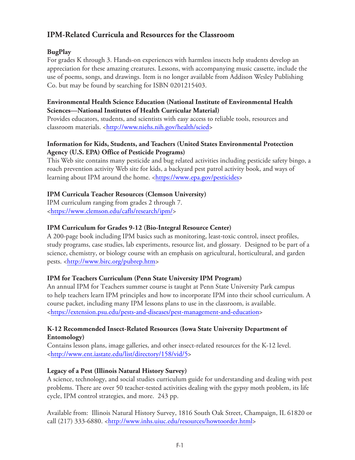## **IPM-Related Curricula and Resources for the Classroom**

## **BugPlay**

For grades K through 3. Hands-on experiences with harmless insects help students develop an appreciation for these amazing creatures. Lessons, with accompanying music cassette, include the use of poems, songs, and drawings. Item is no longer available from Addison Wesley Publishing Co. but may be found by searching for ISBN 0201215403.

#### **Environmental Health Science Education (National Institute of Environmental Health Sciences—National Institutes of Health Curricular Material)**

Provides educators, students, and scientists with easy access to reliable tools, resources and classroom materials. [<http://www.niehs.nih.gov/health/scied>](https://www.niehs.nih.gov/health/scied/)

## **Information for Kids, Students, and Teachers (United States Environmental Protection Agency (U.S. EPA) Office of Pesticide Programs)**

This Web site contains many pesticide and bug related activities including pesticide safety bingo, a roach prevention activity Web site for kids, a backyard pest patrol activity book, and ways of learning about IPM around the home. <<https://www.epa.gov/pesticides>>

## **IPM Curricula Teacher Resources (Clemson University)**

IPM curriculum ranging from grades 2 through 7. [<https://www.clemson.edu/cafls/research/ipm/>](https://www.clemson.edu/cafls/research/ipm/)

## **IPM Curriculum for Grades 9-12 (Bio-Integral Resource Center)**

A 200-page book including IPM basics such as monitoring, least-toxic control, insect profiles, study programs, case studies, lab experiments, resource list, and glossary. Designed to be part of a science, chemistry, or biology course with an emphasis on agricultural, horticultural, and garden pests. [<http://www.birc.org/pubrep.htm>](http://www.birc.org/pubrep.htm)

## **IPM for Teachers Curriculum (Penn State University IPM Program)**

An annual IPM for Teachers summer course is taught at Penn State University Park campus to help teachers learn IPM principles and how to incorporate IPM into their school curriculum. A course packet, including many IPM lessons plans to use in the classroom, is available. [<https://extension.psu.edu/pests-and-diseases/pest-management-and-education>](https://extension.psu.edu/pests-and-diseases/pest-management-and-education)

#### **K-12 Recommended Insect-Related Resources (Iowa State University Department of Entomology)**

Contains lesson plans, image galleries, and other insect-related resources for the K-12 level. [<http://www.ent.iastate.edu/list/directory/158/vid/5>](https://extension.psu.edu/pests-and-diseases/pest-management-and-education)

## **Legacy of a Pest (Illinois Natural History Survey)**

A science, technology, and social studies curriculum guide for understanding and dealing with pest problems. There are over 50 teacher-tested activities dealing with the gypsy moth problem, its life cycle, IPM control strategies, and more. 243 pp.

Available from: Illinois Natural History Survey, 1816 South Oak Street, Champaign, IL 61820 or call (217) 333-6880. [<http://www.inhs.uiuc.edu/resources/howtoorder.html>](https://www.inhs.illinois.edu/resources/inhspublications/)